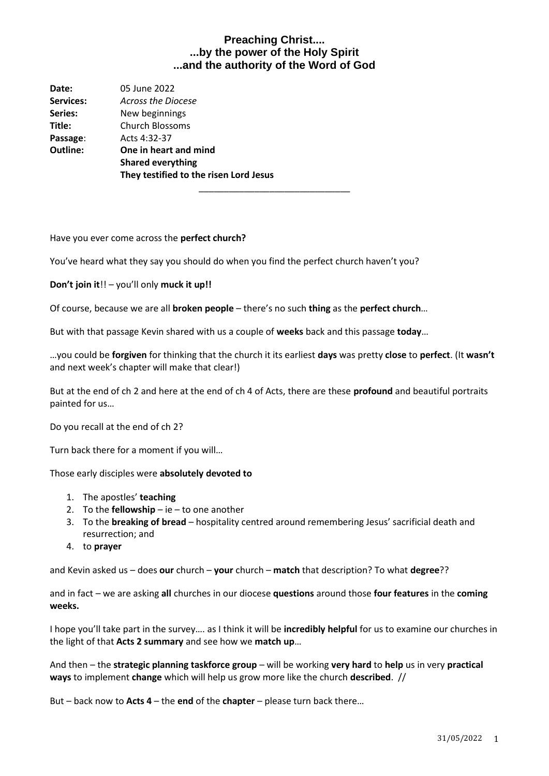| Date:            | 05 June 2022                           |  |
|------------------|----------------------------------------|--|
| <b>Services:</b> | Across the Diocese                     |  |
| Series:          | New beginnings                         |  |
| Title:           | <b>Church Blossoms</b>                 |  |
| Passage:         | Acts 4:32-37                           |  |
| Outline:         | One in heart and mind                  |  |
|                  | <b>Shared everything</b>               |  |
|                  | They testified to the risen Lord Jesus |  |
|                  |                                        |  |

Have you ever come across the **perfect church?**

You've heard what they say you should do when you find the perfect church haven't you?

**Don't join it**!! – you'll only **muck it up!!**

Of course, because we are all **broken people** – there's no such **thing** as the **perfect church**…

But with that passage Kevin shared with us a couple of **weeks** back and this passage **today**…

…you could be **forgiven** for thinking that the church it its earliest **days** was pretty **close** to **perfect**. (It **wasn't** and next week's chapter will make that clear!)

But at the end of ch 2 and here at the end of ch 4 of Acts, there are these **profound** and beautiful portraits painted for us…

Do you recall at the end of ch 2?

Turn back there for a moment if you will…

Those early disciples were **absolutely devoted to**

- 1. The apostles' **teaching**
- 2. To the **fellowship** ie to one another
- 3. To the **breaking of bread** hospitality centred around remembering Jesus' sacrificial death and resurrection; and
- 4. to **prayer**

and Kevin asked us – does **our** church – **your** church – **match** that description? To what **degree**??

and in fact – we are asking **all** churches in our diocese **questions** around those **four features** in the **coming weeks.** 

I hope you'll take part in the survey…. as I think it will be **incredibly helpful** for us to examine our churches in the light of that **Acts 2 summary** and see how we **match up**…

And then – the **strategic planning taskforce group** – will be working **very hard** to **help** us in very **practical ways** to implement **change** which will help us grow more like the church **described**. //

But – back now to **Acts 4** – the **end** of the **chapter** – please turn back there…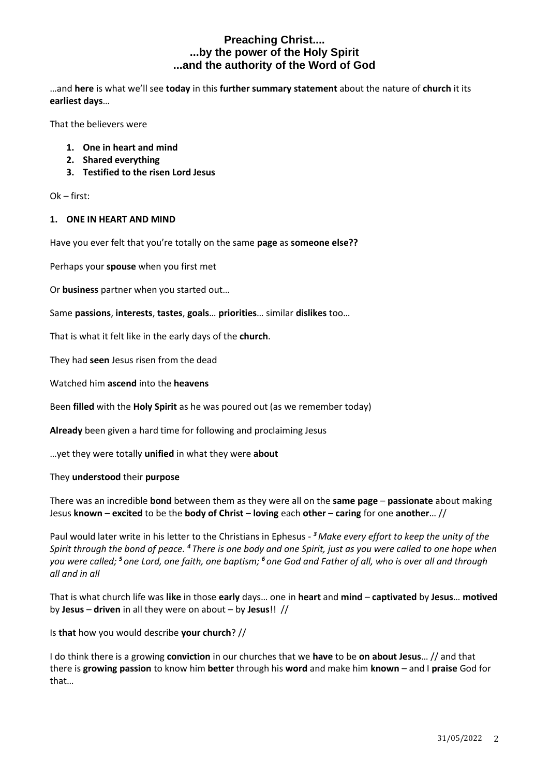…and **here** is what we'll see **today** in this **further summary statement** about the nature of **church** it its **earliest days**…

That the believers were

- **1. One in heart and mind**
- **2. Shared everything**
- **3. Testified to the risen Lord Jesus**

Ok – first:

#### **1. ONE IN HEART AND MIND**

Have you ever felt that you're totally on the same **page** as **someone else??**

Perhaps your **spouse** when you first met

Or **business** partner when you started out…

Same **passions**, **interests**, **tastes**, **goals**… **priorities**… similar **dislikes** too…

That is what it felt like in the early days of the **church**.

They had **seen** Jesus risen from the dead

Watched him **ascend** into the **heavens**

Been **filled** with the **Holy Spirit** as he was poured out (as we remember today)

**Already** been given a hard time for following and proclaiming Jesus

…yet they were totally **unified** in what they were **about**

#### They **understood** their **purpose**

There was an incredible **bond** between them as they were all on the **same page** – **passionate** about making Jesus **known** – **excited** to be the **body of Christ** – **loving** each **other** – **caring** for one **another**… //

Paul would later write in his letter to the Christians in Ephesus - *<sup>3</sup>Make every effort to keep the unity of the Spirit through the bond of peace. <sup>4</sup> There is one body and one Spirit, just as you were called to one hope when you were called; <sup>5</sup> one Lord, one faith, one baptism; <sup>6</sup> one God and Father of all, who is over all and through all and in all*

That is what church life was **like** in those **early** days… one in **heart** and **mind** – **captivated** by **Jesus**… **motived** by **Jesus** – **driven** in all they were on about – by **Jesus**!! //

Is **that** how you would describe **your church**? //

I do think there is a growing **conviction** in our churches that we **have** to be **on about Jesus**… // and that there is **growing passion** to know him **better** through his **word** and make him **known** – and I **praise** God for that…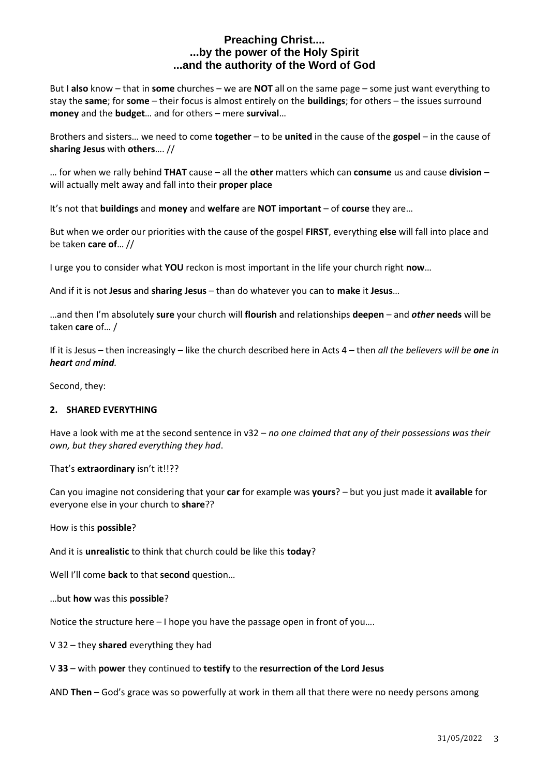But I **also** know – that in **some** churches – we are **NOT** all on the same page – some just want everything to stay the **same**; for **some** – their focus is almost entirely on the **buildings**; for others – the issues surround **money** and the **budget**… and for others – mere **survival**…

Brothers and sisters… we need to come **together** – to be **united** in the cause of the **gospel** – in the cause of **sharing Jesus** with **others**…. //

… for when we rally behind **THAT** cause – all the **other** matters which can **consume** us and cause **division** – will actually melt away and fall into their **proper place**

It's not that **buildings** and **money** and **welfare** are **NOT important** – of **course** they are…

But when we order our priorities with the cause of the gospel **FIRST**, everything **else** will fall into place and be taken **care of**… //

I urge you to consider what **YOU** reckon is most important in the life your church right **now**…

And if it is not **Jesus** and **sharing Jesus** – than do whatever you can to **make** it **Jesus**…

…and then I'm absolutely **sure** your church will **flourish** and relationships **deepen** – and *other* **needs** will be taken **care** of… /

If it is Jesus – then increasingly – like the church described here in Acts 4 – then *all the believers will be one in heart and mind.*

Second, they:

### **2. SHARED EVERYTHING**

Have a look with me at the second sentence in v32 – *no one claimed that any of their possessions was their own, but they shared everything they had*.

#### That's **extraordinary** isn't it!!??

Can you imagine not considering that your **car** for example was **yours**? – but you just made it **available** for everyone else in your church to **share**??

#### How is this **possible**?

And it is **unrealistic** to think that church could be like this **today**?

Well I'll come **back** to that **second** question…

…but **how** was this **possible**?

Notice the structure here – I hope you have the passage open in front of you….

V 32 – they **shared** everything they had

V **33** – with **power** they continued to **testify** to the **resurrection of the Lord Jesus**

AND **Then** – God's grace was so powerfully at work in them all that there were no needy persons among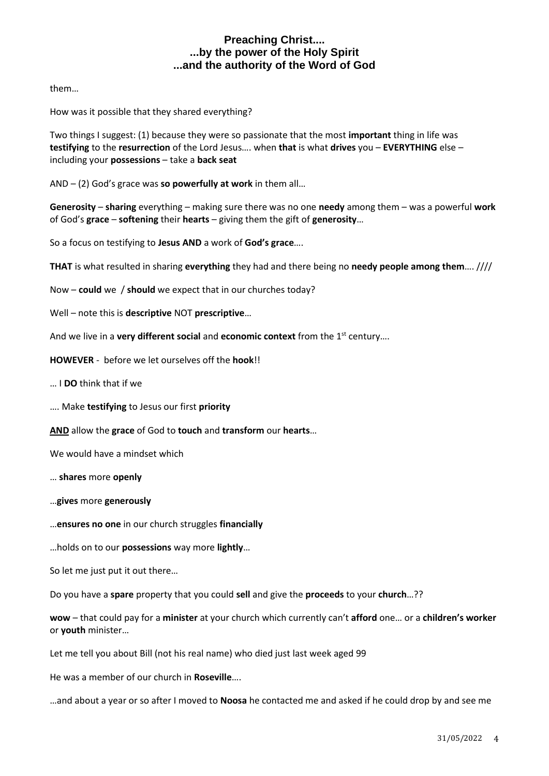them…

How was it possible that they shared everything?

Two things I suggest: (1) because they were so passionate that the most **important** thing in life was **testifying** to the **resurrection** of the Lord Jesus…. when **that** is what **drives** you – **EVERYTHING** else – including your **possessions** – take a **back seat**

AND – (2) God's grace was **so powerfully at work** in them all…

**Generosity** – **sharing** everything – making sure there was no one **needy** among them – was a powerful **work** of God's **grace** – **softening** their **hearts** – giving them the gift of **generosity**…

So a focus on testifying to **Jesus AND** a work of **God's grace**….

**THAT** is what resulted in sharing **everything** they had and there being no **needy people among them**…. ////

Now – **could** we / **should** we expect that in our churches today?

Well – note this is **descriptive** NOT **prescriptive**…

And we live in a **very different social** and **economic context** from the 1<sup>st</sup> century....

**HOWEVER** - before we let ourselves off the **hook**!!

… I **DO** think that if we

…. Make **testifying** to Jesus our first **priority**

**AND** allow the **grace** of God to **touch** and **transform** our **hearts**…

We would have a mindset which

… **shares** more **openly**

…**gives** more **generously**

…**ensures no one** in our church struggles **financially**

…holds on to our **possessions** way more **lightly**…

So let me just put it out there…

Do you have a **spare** property that you could **sell** and give the **proceeds** to your **church**…??

**wow** – that could pay for a **minister** at your church which currently can't **afford** one… or a **children's worker** or **youth** minister…

Let me tell you about Bill (not his real name) who died just last week aged 99

He was a member of our church in **Roseville**….

…and about a year or so after I moved to **Noosa** he contacted me and asked if he could drop by and see me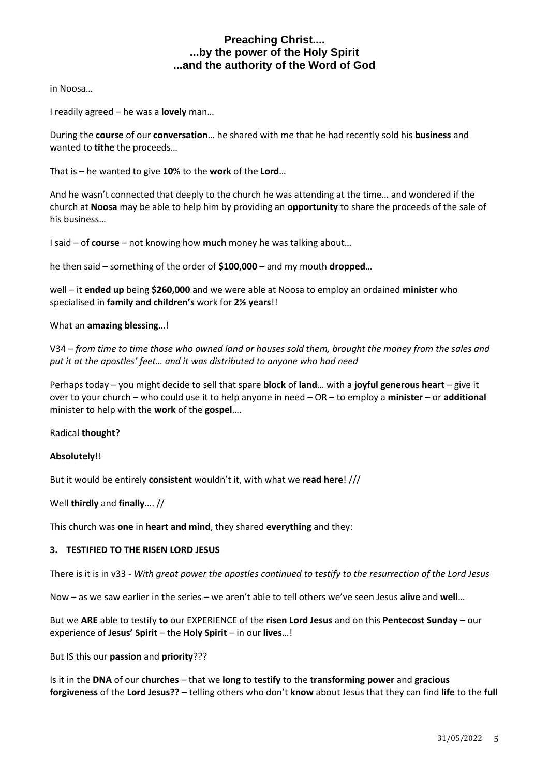in Noosa…

I readily agreed – he was a **lovely** man…

During the **course** of our **conversation**… he shared with me that he had recently sold his **business** and wanted to **tithe** the proceeds…

That is – he wanted to give **10**% to the **work** of the **Lord**…

And he wasn't connected that deeply to the church he was attending at the time… and wondered if the church at **Noosa** may be able to help him by providing an **opportunity** to share the proceeds of the sale of his business…

I said – of **course** – not knowing how **much** money he was talking about…

he then said – something of the order of **\$100,000** – and my mouth **dropped**…

well – it **ended up** being **\$260,000** and we were able at Noosa to employ an ordained **minister** who specialised in **family and children's** work for **2½ years**!!

What an **amazing blessing**…!

V34 – *from time to time those who owned land or houses sold them, brought the money from the sales and put it at the apostles' feet… and it was distributed to anyone who had need*

Perhaps today – you might decide to sell that spare **block** of **land**… with a **joyful generous heart** – give it over to your church – who could use it to help anyone in need – OR – to employ a **minister** – or **additional** minister to help with the **work** of the **gospel**….

Radical **thought**?

### **Absolutely**!!

But it would be entirely **consistent** wouldn't it, with what we **read here**! ///

Well **thirdly** and **finally**…. //

This church was **one** in **heart and mind**, they shared **everything** and they:

### **3. TESTIFIED TO THE RISEN LORD JESUS**

There is it is in v33 - *With great power the apostles continued to testify to the resurrection of the Lord Jesus*

Now – as we saw earlier in the series – we aren't able to tell others we've seen Jesus **alive** and **well**…

But we **ARE** able to testify **to** our EXPERIENCE of the **risen Lord Jesus** and on this **Pentecost Sunday** – our experience of **Jesus' Spirit** – the **Holy Spirit** – in our **lives**…!

But IS this our **passion** and **priority**???

Is it in the **DNA** of our **churches** – that we **long** to **testify** to the **transforming power** and **gracious forgiveness** of the **Lord Jesus??** – telling others who don't **know** about Jesus that they can find **life** to the **full**